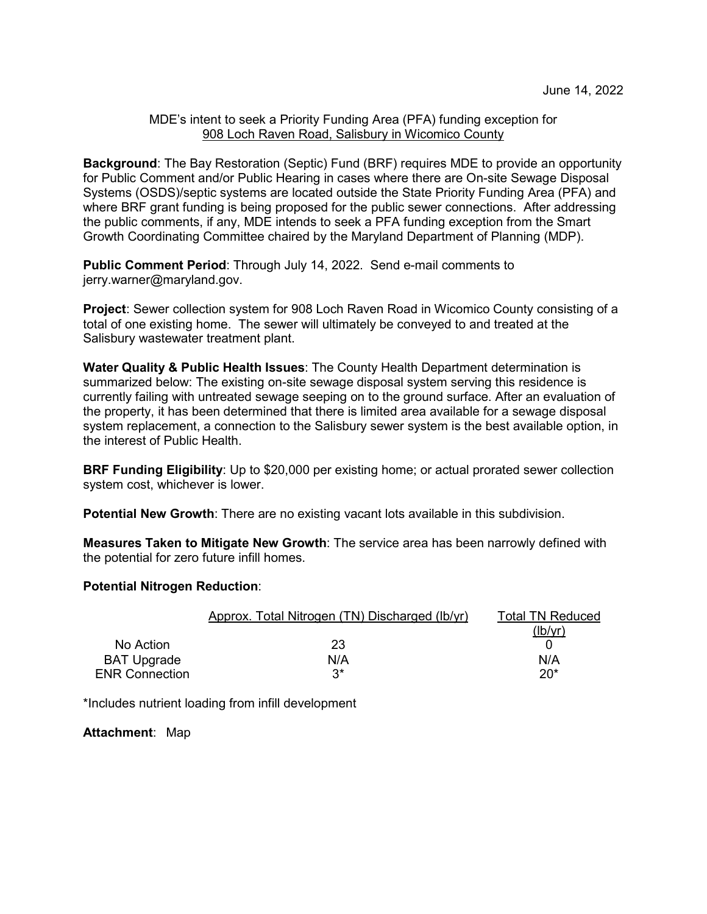## MDE's intent to seek a Priority Funding Area (PFA) funding exception for 908 Loch Raven Road, Salisbury in Wicomico County

**Background**: The Bay Restoration (Septic) Fund (BRF) requires MDE to provide an opportunity for Public Comment and/or Public Hearing in cases where there are On-site Sewage Disposal Systems (OSDS)/septic systems are located outside the State Priority Funding Area (PFA) and where BRF grant funding is being proposed for the public sewer connections. After addressing the public comments, if any, MDE intends to seek a PFA funding exception from the Smart Growth Coordinating Committee chaired by the Maryland Department of Planning (MDP).

**Public Comment Period**: Through July 14, 2022. Send e-mail comments to jerry.warner@maryland.gov.

**Project**: Sewer collection system for 908 Loch Raven Road in Wicomico County consisting of a total of one existing home. The sewer will ultimately be conveyed to and treated at the Salisbury wastewater treatment plant.

**Water Quality & Public Health Issues**: The County Health Department determination is summarized below: The existing on-site sewage disposal system serving this residence is currently failing with untreated sewage seeping on to the ground surface. After an evaluation of the property, it has been determined that there is limited area available for a sewage disposal system replacement, a connection to the Salisbury sewer system is the best available option, in the interest of Public Health.

**BRF Funding Eligibility**: Up to \$20,000 per existing home; or actual prorated sewer collection system cost, whichever is lower.

**Potential New Growth**: There are no existing vacant lots available in this subdivision.

**Measures Taken to Mitigate New Growth**: The service area has been narrowly defined with the potential for zero future infill homes.

## **Potential Nitrogen Reduction**:

|                       | Approx. Total Nitrogen (TN) Discharged (Ib/yr) | <b>Total TN Reduced</b> |
|-----------------------|------------------------------------------------|-------------------------|
|                       |                                                | (lb/vr)                 |
| No Action             | 23                                             |                         |
| <b>BAT Upgrade</b>    | N/A                                            | N/A                     |
| <b>ENR Connection</b> | ۹*                                             | $20*$                   |

\*Includes nutrient loading from infill development

**Attachment**: Map